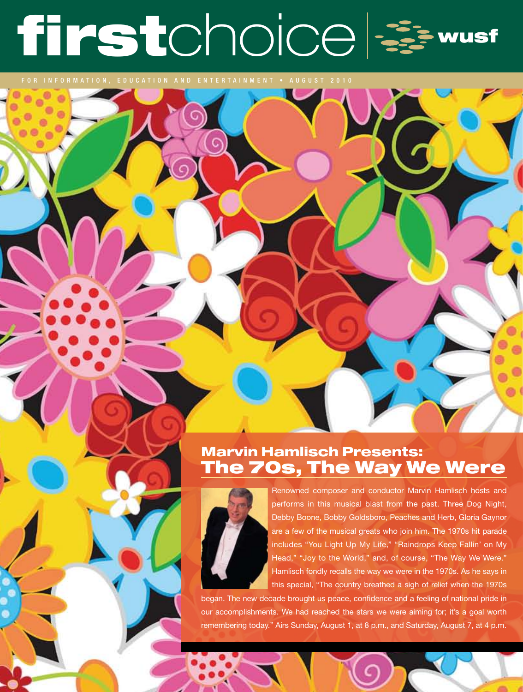# firstchoice &

# Marvin Hamlisch Presents: The 70s, The Way We Were



Renowned composer and conductor Marvin Hamlisch hosts and performs in this musical blast from the past. Three Dog Night, Debby Boone, Bobby Goldsboro, Peaches and Herb, Gloria Gaynor are a few of the musical greats who join him. The 1970s hit parade includes "You Light Up My Life," "Raindrops Keep Fallin' on My Head," "Joy to the World," and, of course, "The Way We Were." Hamlisch fondly recalls the way we were in the 1970s. As he says in this special, "The country breathed a sigh of relief when the 1970s

began. The new decade brought us peace, confidence and a feeling of national pride in our accomplishments. We had reached the stars we were aiming for; it's a goal worth remembering today." Airs Sunday, August 1, at 8 p.m., and Saturday, August 7, at 4 p.m.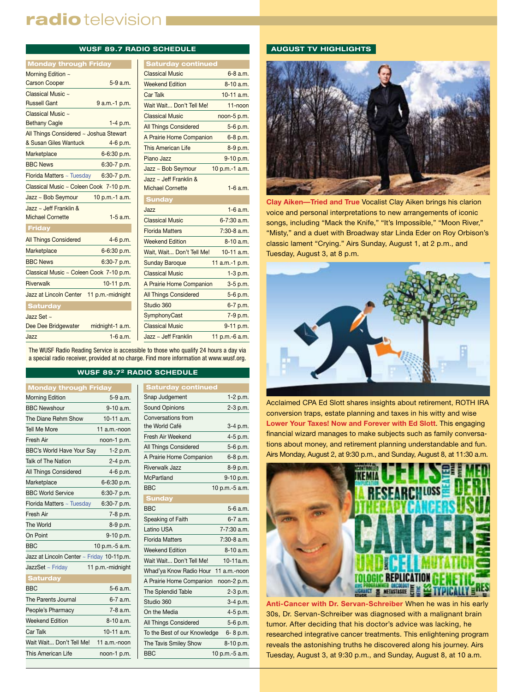# radio television I

# **WUSF 89.7 RADIO SCHEDULE**

| <b>Monday through Friday</b>            |                 |                |
|-----------------------------------------|-----------------|----------------|
| Morning Edition ~                       |                 | C              |
| <b>Carson Cooper</b>                    | $5-9a.m.$       | W              |
| Classical Music ~                       |                 | C              |
| <b>Russell Gant</b>                     | 9 a.m.-1 p.m.   | W              |
| Classical Music ~                       |                 | C              |
| <b>Bethany Cagle</b>                    | $1-4$ p.m.      | Al             |
| All Things Considered ~ Joshua Stewart  |                 | A              |
| & Susan Giles Wantuck                   | 4-6 p.m.        | Tł             |
| Marketplace                             | 6-6:30 p.m.     | Pi             |
| <b>BBC News</b>                         | 6:30-7 p.m.     | Já             |
| Florida Matters ~ Tuesday               | 6:30-7 p.m.     | Ja             |
| Classical Music ~ Coleen Cook 7-10 p.m. |                 | M              |
| $Jazz \sim Bob$ Seymour                 | 10 p.m.-1 a.m.  | ś              |
| Jazz ~ Jeff Franklin $&$                |                 | Ja             |
| <b>Michael Cornette</b>                 | $1-5$ a.m.      | $\overline{C}$ |
| <b>Friday</b>                           |                 | FI             |
| <b>All Things Considered</b>            | 4-6 p.m.        | W              |
| Marketplace                             | 6-6:30 p.m.     | W              |
| <b>BBC News</b>                         | $6:30-7$ p.m.   | $\mathsf{S}$   |
| Classical Music ~ Coleen Cook 7-10 p.m. |                 | C              |
| Riverwalk                               | 10-11 p.m.      | A              |
| Jazz at Lincoln Center 11 p.m.-midnight |                 | Al             |
| <b>Saturday</b>                         |                 | S <sub>1</sub> |
| Jazz Set $\sim$                         |                 | S)             |
| Dee Dee Bridgewater                     | midnight-1 a.m. | C              |
| Jazz                                    | 1-6 a.m.        | Já             |

| <b>Saturday continued</b>             |                 |  |
|---------------------------------------|-----------------|--|
| <b>Classical Music</b>                | $6 - 8$ a.m.    |  |
| <b>Weekend Edition</b>                | $8-10a.m.$      |  |
| <b>Car Talk</b>                       | 10-11 a.m.      |  |
| Wait Wait Don't Tell Me!              | 11-noon         |  |
| <b>Classical Music</b><br>noon-5 p.m. |                 |  |
| <b>All Things Considered</b>          | 5-6 p.m.        |  |
| A Prairie Home Companion              | 6-8 p.m.        |  |
| This American Life                    | 8-9 p.m.        |  |
| Piano Jazz                            | 9-10 p.m.       |  |
| Jazz ~ Bob Seymour                    | 10 p.m.-1 a.m.  |  |
| Jazz ~ Jeff Franklin &                |                 |  |
| <b>Michael Cornette</b>               | $1-6$ a.m.      |  |
| <b>Sunday</b>                         |                 |  |
| Jazz                                  | $1-6$ a.m.      |  |
| <b>Classical Music</b>                | $6 - 7:30$ a.m. |  |
| <b>Florida Matters</b>                | $7:30-8$ a.m.   |  |
| <b>Weekend Edition</b>                | 8-10 a.m.       |  |
| Wait, Wait Don't Tell Me!             | $10-11$ a.m.    |  |
| <b>Sunday Baroque</b>                 | 11 a.m.-1 p.m.  |  |
| <b>Classical Music</b>                | $1-3$ p.m.      |  |
| A Prairie Home Companion              | 3-5 p.m.        |  |
| <b>All Things Considered</b>          | 5-6 p.m.        |  |
| Studio 360                            | 6-7 p.m.        |  |
| SymphonyCast                          | 7-9 p.m.        |  |
| <b>Classical Music</b>                | 9-11 p.m.       |  |
| Jazz ~ Jeff Franklin                  | 11 p.m.-6 a.m.  |  |

The WUSF Radio Reading Service is accessible to those who qualify 24 hours a day via a special radio receiver, provided at no charge. Find more information at www.wusf.org.

# **WUSF 89.72 RADIO SCHEDULE**

| <b>Monday through Friday</b>              |                  |  |  |
|-------------------------------------------|------------------|--|--|
| <b>Morning Edition</b>                    | 5-9 a.m.         |  |  |
| <b>BBC Newshour</b>                       | 9-10 a.m.        |  |  |
| The Diane Rehm Show                       | $10-11$ a.m.     |  |  |
| <b>Tell Me More</b>                       | 11 a.m.-noon     |  |  |
| Fresh Air                                 | noon-1 p.m.      |  |  |
| BBC's World Have Your Say                 | 1-2 p.m.         |  |  |
| <b>Talk of The Nation</b>                 | 2-4 p.m.         |  |  |
| All Things Considered                     | 4-6 p.m.         |  |  |
| Marketplace                               | 6-6:30 p.m.      |  |  |
| <b>BBC World Service</b>                  | 6:30-7 p.m.      |  |  |
| Florida Matters ~ Tuesday                 | 6:30-7 p.m.      |  |  |
| Fresh Air                                 | 7-8 p.m.         |  |  |
| The World                                 | 8-9 p.m.         |  |  |
| On Point                                  | 9-10 p.m.        |  |  |
| <b>BBC</b>                                | 10 p.m.-5 a.m.   |  |  |
| Jazz at Lincoln Center ~ Friday 10-11p.m. |                  |  |  |
| JazzSet ~ Friday                          | 11 p.m.-midnight |  |  |
| <b>Saturday</b>                           |                  |  |  |
| <b>BBC</b>                                | $5-6a.m.$        |  |  |
| The Parents Journal                       | 6-7 a.m.         |  |  |
| People's Pharmacy                         | $7-8$ a.m.       |  |  |
| <b>Weekend Edition</b>                    | $8-10a.m.$       |  |  |
| Car Talk                                  | $10-11$ a.m.     |  |  |
| Wait Wait Don't Tell Me!<br>11 a.m.-noon  |                  |  |  |
| This American Life                        | noon-1 p.m.      |  |  |

| Saturday continued                   |                |
|--------------------------------------|----------------|
| Snap Judgement                       | 1-2 p.m.       |
| <b>Sound Opinions</b>                | 2-3 p.m.       |
| Conversations from                   |                |
| the World Café                       | $3-4 p.m.$     |
| Fresh Air Weekend                    | 4-5 p.m.       |
| All Things Considered                | 5-6 p.m.       |
| A Prairie Home Companion             | 6-8 p.m.       |
| Riverwalk Jazz                       | 8-9 p.m.       |
| McPartland                           | 9-10 p.m.      |
| <b>BBC</b>                           | 10 p.m.-5 a.m. |
| <b>Sunday</b>                        |                |
| <b>BBC</b>                           | 5-6 a.m.       |
| Speaking of Faith                    | 6-7 a.m.       |
| Latino USA                           | 7-7:30 a.m.    |
| <b>Florida Matters</b>               | 7:30-8 a.m.    |
| <b>Weekend Edition</b>               | 8-10 a.m.      |
| Wait Wait Don't Tell Me!             | $10-11a.m.$    |
| Whad'ya Know Radio Hour 11 a.m.-noon |                |
| A Prairie Home Companion             | noon-2 p.m.    |
| The Splendid Table                   | $2-3$ p.m.     |
| Studio 360                           | 3-4 p.m.       |
| On the Media                         | 4-5 p.m.       |
| All Things Considered                | 5-6 p.m.       |
| To the Best of our Knowledge         | 6-8 p.m.       |
| The Tavis Smiley Show                | 8-10 p.m.      |
| <b>BBC</b>                           | 10 p.m.-5 a.m. |
|                                      |                |

# **AUGUST TV HIGHLIGHTS**



**Clay Aiken—Tried and True** Vocalist Clay Aiken brings his clarion voice and personal interpretations to new arrangements of iconic songs, including "Mack the Knife," "It's Impossible," "Moon River," "Misty," and a duet with Broadway star Linda Eder on Roy Orbison's classic lament "Crying." Airs Sunday, August 1, at 2 p.m., and Tuesday, August 3, at 8 p.m.



Acclaimed CPA Ed Slott shares insights about retirement, ROTH IRA conversion traps, estate planning and taxes in his witty and wise **Lower Your Taxes! Now and Forever with Ed Slott**. This engaging financial wizard manages to make subjects such as family conversations about money, and retirement planning understandable and fun. Airs Monday, August 2, at 9:30 p.m., and Sunday, August 8, at 11:30 a.m.



**Anti-Cancer with Dr. Servan-Schreiber** When he was in his early 30s, Dr. Servan-Schreiber was diagnosed with a malignant brain tumor. After deciding that his doctor's advice was lacking, he researched integrative cancer treatments. This enlightening program reveals the astonishing truths he discovered along his journey. Airs Tuesday, August 3, at 9:30 p.m., and Sunday, August 8, at 10 a.m.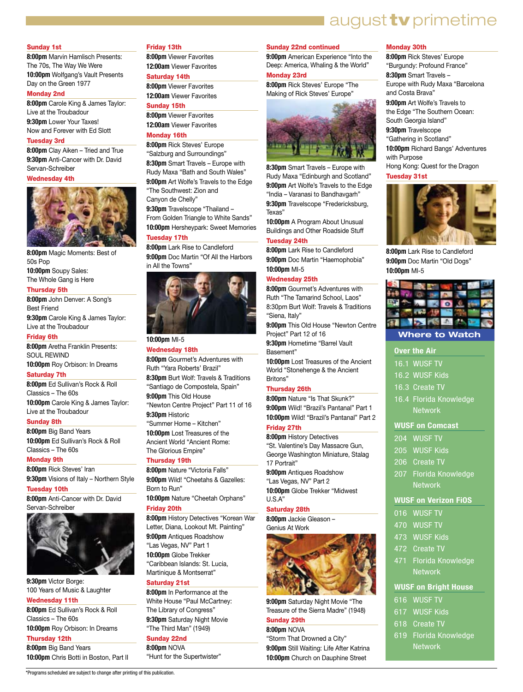# **a**ugust **tv** primetime

#### Sunday 1st

**8:00pm** Marvin Hamlisch Presents: The 70s, The Way We Were **10:00pm** Wolfgang's Vault Presents Day on the Green 1977

#### Monday 2nd

**8:00pm** Carole King & James Taylor: Live at the Troubadour **9:30pm** Lower Your Taxes! Now and Forever with Ed Slott

# Tuesday 3rd

**8:00pm** Clay Aiken – Tried and True **9:30pm** Anti-Cancer with Dr. David Servan-Schreiber

## Wednesday 4th



**8:00pm** Magic Moments: Best of 50s Pop **10:00pm** Soupy Sales: The Whole Gang is Here

# Thursday 5th

**8:00pm** John Denver: A Song's Best Friend **9:30pm** Carole King & James Taylor:

Live at the Troubadour

# Friday 6th

**8:00pm** Aretha Franklin Presents: SOUL REWIND

**10:00pm** Roy Orbison: In Dreams

# Saturday 7th

**8:00pm** Ed Sullivan's Rock & Roll Classics – The 60s **10:00pm** Carole King & James Taylor: Live at the Troubadour

#### Sunday 8th

**8:00pm** Big Band Years **10:00pm** Ed Sullivan's Rock & Roll Classics – The 60s

#### Monday 9th

**8:00pm** Rick Steves' Iran **9:30pm** Visions of Italy – Northern Style

#### Tuesday 10th

**8:00pm** Anti-Cancer with Dr. David Servan-Schreiber



**9:30pm** Victor Borge: 100 Years of Music & Laughter Wednesday 11th **8:00pm** Ed Sullivan's Rock & Roll Classics – The 60s **10:00pm** Roy Orbison: In Dreams Thursday 12th **8:00pm** Big Band Years

#### Friday 13th

**8:00pm** Viewer Favorites **12:00am** Viewer Favorites

# Saturday 14th

**8:00pm** Viewer Favorites **12:00am** Viewer Favorites

# Sunday 15th

**8:00pm** Viewer Favorites **12:00am** Viewer Favorites

# Monday 16th

**8:00pm** Rick Steves' Europe "Salzburg and Surroundings" **8:30pm** Smart Travels – Europe with Rudy Maxa "Bath and South Wales" **9:00pm** Art Wolfe's Travels to the Edge "The Southwest: Zion and Canyon de Chelly" **9:30pm** Travelscope "Thailand – From Golden Triangle to White Sands"

**10:00pm** Hersheypark: Sweet Memories

## Tuesday 17th

**8:00pm** Lark Rise to Candleford **9:00pm** Doc Martin "Of All the Harbors in All the Towns"



# **10:00pm** MI-5

# Wednesday 18th

**8:00pm** Gourmet's Adventures with Ruth "Yara Roberts' Brazil" **8:30pm** Burt Wolf: Travels & Traditions "Santiago de Compostela, Spain" **9:00pm** This Old House "Newton Centre Project" Part 11 of 16 **9:30pm** Historic "Summer Home – Kitchen" **10:00pm** Lost Treasures of the Ancient World "Ancient Rome: The Glorious Empire"

#### Thursday 19th

**8:00pm** Nature "Victoria Falls" **9:00pm** Wild! "Cheetahs & Gazelles: Born to Run"

**10:00pm** Nature "Cheetah Orphans"

# Friday 20th

**8:00pm** History Detectives "Korean War Letter, Diana, Lookout Mt. Painting" **9:00pm** Antiques Roadshow "Las Vegas, NV" Part 1 **10:00pm** Globe Trekker "Caribbean Islands: St. Lucia, Martinique & Montserrat"

## Saturday 21st

**8:00pm** In Performance at the White House "Paul McCartney: The Library of Congress" **9:30pm** Saturday Night Movie "The Third Man" (1949)

#### Sunday 22nd **8:00pm** NOVA

**10:00pm** Chris Botti in Boston, Part II "Hunt for the Supertwister"

\*Programs scheduled are subject to change after printing of this publication.

# Sunday 22nd continued

**9:00pm** American Experience "Into the Deep: America, Whaling & the World"

# Monday 23rd

**8:00pm** Rick Steves' Europe "The Making of Rick Steves' Europe"



**8:30pm** Smart Travels – Europe with Rudy Maxa "Edinburgh and Scotland" **9:00pm** Art Wolfe's Travels to the Edge "India – Varanasi to Bandhavgarh" **9:30pm** Travelscope "Fredericksburg,

Texas" **10:00pm** A Program About Unusual Buildings and Other Roadside Stuff

#### Tuesday 24th

**8:00pm** Lark Rise to Candleford **9:00pm** Doc Martin "Haemophobia" **10:00pm** MI-5

#### Wednesday 25th

**8:00pm** Gourmet's Adventures with Ruth "The Tamarind School, Laos" 8:30pm Burt Wolf: Travels & Traditions "Siena, Italy"

**9:00pm** This Old House "Newton Centre Project" Part 12 of 16

**9:30pm** Hometime "Barrel Vault Basement"

**10:00pm** Lost Treasures of the Ancient World "Stonehenge & the Ancient Britons"

#### Thursday 26th

**8:00pm** Nature "Is That Skunk?" **9:00pm** Wild! "Brazil's Pantanal" Part 1 **10:00pm** Wild! "Brazil's Pantanal" Part 2

#### Friday 27th

**8:00pm** History Detectives "St. Valentine's Day Massacre Gun, George Washington Miniature, Stalag 17 Portrait"

**9:00pm** Antiques Roadshow "Las Vegas, NV" Part 2

**10:00pm** Globe Trekker "Midwest U.S.A"

#### Saturday 28th

**8:00pm** Jackie Gleason – Genius At Work



**9:00pm** Saturday Night Movie "The Treasure of the Sierra Madre" (1948)

#### Sunday 29th **8:00pm** NOVA

"Storm That Drowned a City" **9:00pm** Still Waiting: Life After Katrina **10:00pm** Church on Dauphine Street

## Monday 30th

**8:00pm** Rick Steves' Europe "Burgundy: Profound France" **8:30pm** Smart Travels – Europe with Rudy Maxa "Barcelona and Costa Brava"

**9:00pm** Art Wolfe's Travels to the Edge "The Southern Ocean: South Georgia Island"

**9:30pm** Travelscope

"Gathering in Scotland"

**10:00pm** Richard Bangs' Adventures with Purpose

Hong Kong: Quest for the Dragon Tuesday 31st



**8:00pm** Lark Rise to Candleford **9:00pm** Doc Martin "Old Dogs" **10:00pm** MI-5



**Where to Watch** 

# **Over the Air**

- 16.1 WUSF TV
- 16.2 WUSF Kids
- 
- 16.4 Florida Knowledge **Network**

#### **WUSF on Comcast**

- 204 WUSF TV
- 205 WUSF Kids
- 206 Create TV
- 207 Florida Knowledge **Network**

#### **WUSF on Verizon FiOS**

471 Florida Knowledge **Network WUSF on Bright House** 

619 Florida Knowledge **Network** 

- 016 WUSF TV
- 470 WUSF TV 473 WUSF Kids

472 Create TV

616 WUSF TV 617 WUSF Kids 618 Create TV